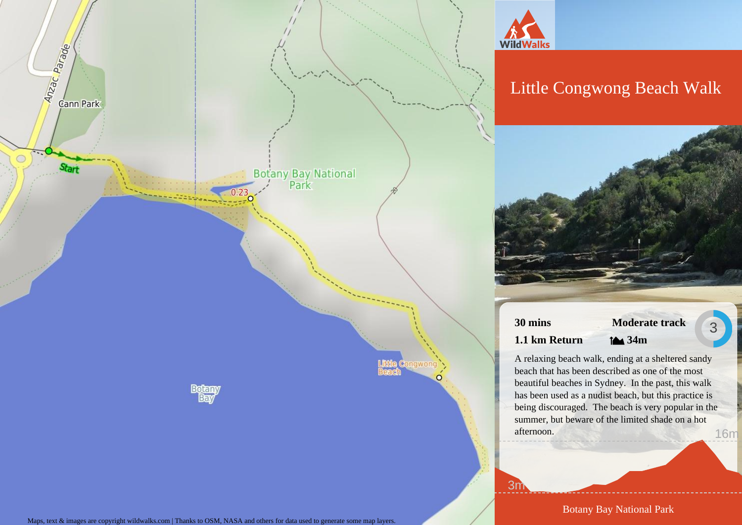



# Little Congwong Beach Walk



**30 mins 1.1 km Return**

# **Moderate track 34m**

3

A relaxing beach walk, ending at a sheltered sandy beach that has been described as one of the most beautiful beaches in Sydney. In the past, this walk has been used as a nudist beach, but this practice is being discouraged. The beach is very popular in the summer, but beware of the limited shade on a hot afternoon. 16m

3m

Botany Bay National Park

Maps, text & images are copyright wildwalks.com | Thanks to OSM, NASA and others for data used to generate some map layers.